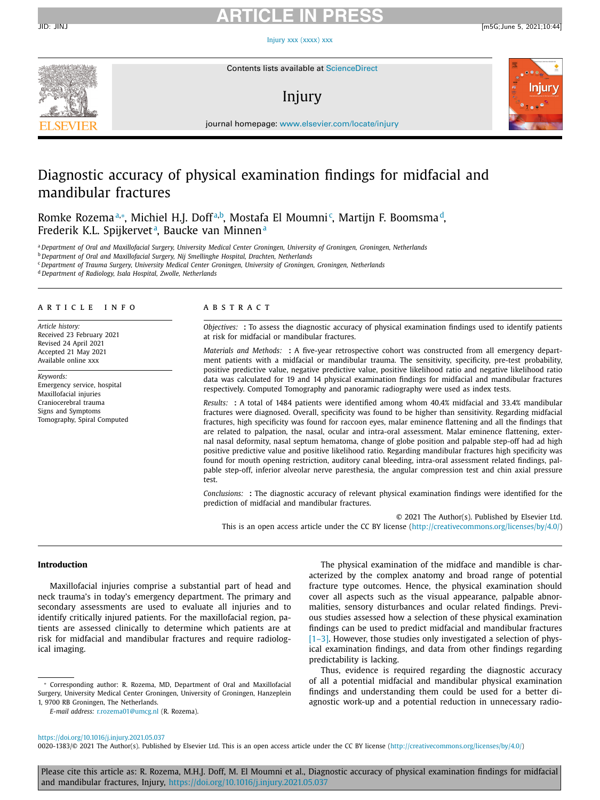Injury xxx [\(xxxx\)](https://doi.org/10.1016/j.injury.2021.05.037) xxx



Contents lists available at [ScienceDirect](http://www.ScienceDirect.com)

# Injury





journal homepage: [www.elsevier.com/locate/injury](http://www.elsevier.com/locate/injury)

# Diagnostic accuracy of physical examination findings for midfacial and mandibular fractures

Romke Rozemaª,\*, Michiel H.J. Doffª,b, Mostafa El Moumni¢, Martijn F. Boomsmaª, Frederik K.L. Spijkervet<sup>a</sup>, Baucke van Minnen<sup>a</sup>

a Department of Oral and Maxillofacial Surgery, University Medical Center Groningen, University of Groningen, Groningen, Netherlands

<sup>b</sup> *Department of Oral and Maxillofacial Surgery, Nij Smellinghe Hospital, Drachten, Netherlands*

<sup>c</sup> *Department of Trauma Surgery, University Medical Center Groningen, University of Groningen, Groningen, Netherlands*

<sup>d</sup> *Department of Radiology, Isala Hospital, Zwolle, Netherlands*

### a r t i c l e i n f o

*Article history:* Received 23 February 2021 Revised 24 April 2021 Accepted 21 May 2021 Available online xxx

*Keywords:* Emergency service, hospital Maxillofacial injuries Craniocerebral trauma Signs and Symptoms Tomography, Spiral Computed

### a b s t r a c t

*Objectives:* **:** To assess the diagnostic accuracy of physical examination findings used to identify patients at risk for midfacial or mandibular fractures.

*Materials and Methods:* **:** A five-year retrospective cohort was constructed from all emergency department patients with a midfacial or mandibular trauma. The sensitivity, specificity, pre-test probability, positive predictive value, negative predictive value, positive likelihood ratio and negative likelihood ratio data was calculated for 19 and 14 physical examination findings for midfacial and mandibular fractures respectively. Computed Tomography and panoramic radiography were used as index tests.

*Results:* **:** A total of 1484 patients were identified among whom 40.4% midfacial and 33.4% mandibular fractures were diagnosed. Overall, specificity was found to be higher than sensitivity. Regarding midfacial fractures, high specificity was found for raccoon eyes, malar eminence flattening and all the findings that are related to palpation, the nasal, ocular and intra-oral assessment. Malar eminence flattening, external nasal deformity, nasal septum hematoma, change of globe position and palpable step-off had ad high positive predictive value and positive likelihood ratio. Regarding mandibular fractures high specificity was found for mouth opening restriction, auditory canal bleeding, intra-oral assessment related findings, palpable step-off, inferior alveolar nerve paresthesia, the angular compression test and chin axial pressure test.

*Conclusions:* **:** The diagnostic accuracy of relevant physical examination findings were identified for the prediction of midfacial and mandibular fractures.

© 2021 The Author(s). Published by Elsevier Ltd. This is an open access article under the CC BY license [\(http://creativecommons.org/licenses/by/4.0/\)](http://creativecommons.org/licenses/by/4.0/)

### **Introduction**

Maxillofacial injuries comprise a substantial part of head and neck trauma's in today's emergency department. The primary and secondary assessments are used to evaluate all injuries and to identify critically injured patients. For the maxillofacial region, patients are assessed clinically to determine which patients are at risk for midfacial and mandibular fractures and require radiological imaging.

The physical examination of the midface and mandible is characterized by the complex anatomy and broad range of potential fracture type outcomes. Hence, the physical examination should cover all aspects such as the visual appearance, palpable abnormalities, sensory disturbances and ocular related findings. Previous studies assessed how a selection of these physical examination findings can be used to predict midfacial and mandibular fractures  $[1-3]$ . However, those studies only investigated a selection of physical examination findings, and data from other findings regarding predictability is lacking.

Thus, evidence is required regarding the diagnostic accuracy of all a potential midfacial and mandibular physical examination findings and understanding them could be used for a better diagnostic work-up and a potential reduction in unnecessary radio-

### <https://doi.org/10.1016/j.injury.2021.05.037>

0020-1383/© 2021 The Author(s). Published by Elsevier Ltd. This is an open access article under the CC BY license [\(http://creativecommons.org/licenses/by/4.0/\)](http://creativecommons.org/licenses/by/4.0/)

Please cite this article as: R. Rozema, M.H.J. Doff, M. El Moumni et al., Diagnostic accuracy of physical examination findings for midfacial and mandibular fractures, Injury, <https://doi.org/10.1016/j.injury.2021.05.037>

<sup>∗</sup> Corresponding author: R. Rozema, MD, Department of Oral and Maxillofacial Surgery, University Medical Center Groningen, University of Groningen, Hanzeplein 1, 9700 RB Groningen, The Netherlands.

*E-mail address:* [r.rozema01@umcg.nl](mailto:r.rozema01@umcg.nl) (R. Rozema).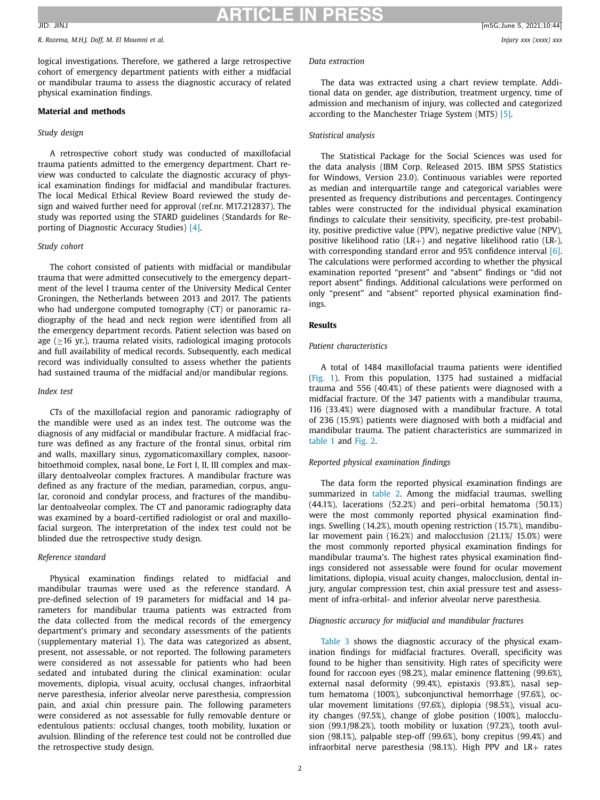*R. Rozema, M.H.J. Doff, M. El Moumni et al. Injury xxx (xxxx) xxx*

logical investigations. Therefore, we gathered a large retrospective cohort of emergency department patients with either a midfacial or mandibular trauma to assess the diagnostic accuracy of related physical examination findings.

### **Material and methods**

### *Study design*

A retrospective cohort study was conducted of maxillofacial trauma patients admitted to the emergency department. Chart review was conducted to calculate the diagnostic accuracy of physical examination findings for midfacial and mandibular fractures. The local Medical Ethical Review Board reviewed the study design and waived further need for approval (ref.nr. M17.212837). The study was reported using the STARD guidelines (Standards for Reporting of Diagnostic Accuracy Studies) [\[4\].](#page-7-0)

### *Study cohort*

The cohort consisted of patients with midfacial or mandibular trauma that were admitted consecutively to the emergency department of the level I trauma center of the University Medical Center Groningen, the Netherlands between 2013 and 2017. The patients who had undergone computed tomography (CT) or panoramic radiography of the head and neck region were identified from all the emergency department records. Patient selection was based on age ( $\geq$ 16 yr.), trauma related visits, radiological imaging protocols and full availability of medical records. Subsequently, each medical record was individually consulted to assess whether the patients had sustained trauma of the midfacial and/or mandibular regions.

### *Index test*

CTs of the maxillofacial region and panoramic radiography of the mandible were used as an index test. The outcome was the diagnosis of any midfacial or mandibular fracture. A midfacial fracture was defined as any fracture of the frontal sinus, orbital rim and walls, maxillary sinus, zygomaticomaxillary complex, nasoorbitoethmoid complex, nasal bone, Le Fort I, II, III complex and maxillary dentoalveolar complex fractures. A mandibular fracture was defined as any fracture of the median, paramedian, corpus, angular, coronoid and condylar process, and fractures of the mandibular dentoalveolar complex. The CT and panoramic radiography data was examined by a board-certified radiologist or oral and maxillofacial surgeon. The interpretation of the index test could not be blinded due the retrospective study design.

### *Reference standard*

Physical examination findings related to midfacial and mandibular traumas were used as the reference standard. A pre-defined selection of 19 parameters for midfacial and 14 parameters for mandibular trauma patients was extracted from the data collected from the medical records of the emergency department's primary and secondary assessments of the patients (supplementary material 1). The data was categorized as absent, present, not assessable, or not reported. The following parameters were considered as not assessable for patients who had been sedated and intubated during the clinical examination: ocular movements, diplopia, visual acuity, occlusal changes, infraorbital nerve paresthesia, inferior alveolar nerve paresthesia, compression pain, and axial chin pressure pain. The following parameters were considered as not assessable for fully removable denture or edentulous patients: occlusal changes, tooth mobility, luxation or avulsion. Blinding of the reference test could not be controlled due the retrospective study design.

## *Data extraction*

The data was extracted using a chart review template. Additional data on gender, age distribution, treatment urgency, time of admission and mechanism of injury, was collected and categorized according to the Manchester Triage System (MTS) [\[5\].](#page-7-0)

### *Statistical analysis*

The Statistical Package for the Social Sciences was used for the data analysis (IBM Corp. Released 2015. IBM SPSS Statistics for Windows, Version 23.0). Continuous variables were reported as median and interquartile range and categorical variables were presented as frequency distributions and percentages. Contingency tables were constructed for the individual physical examination findings to calculate their sensitivity, specificity, pre-test probability, positive predictive value (PPV), negative predictive value (NPV), positive likelihood ratio (LR+) and negative likelihood ratio (LR-), with corresponding standard error and 95% confidence interval [\[6\].](#page-7-0) The calculations were performed according to whether the physical examination reported "present" and "absent" findings or "did not report absent" findings. Additional calculations were performed on only "present" and "absent" reported physical examination findings.

### **Results**

### *Patient characteristics*

A total of 1484 maxillofacial trauma patients were identified [\(Fig.](#page-2-0) 1). From this population, 1375 had sustained a midfacial trauma and 556 (40.4%) of these patients were diagnosed with a midfacial fracture. Of the 347 patients with a mandibular trauma, 116 (33.4%) were diagnosed with a mandibular fracture. A total of 236 (15.9%) patients were diagnosed with both a midfacial and mandibular trauma. The patient characteristics are summarized in [table](#page-3-0) 1 and [Fig.](#page-3-0) 2.

### *Reported physical examination findings*

The data form the reported physical examination findings are summarized in [table](#page-4-0) 2. Among the midfacial traumas, swelling (44.1%), lacerations (52.2%) and peri–orbital hematoma (50.1%) were the most commonly reported physical examination findings. Swelling (14.2%), mouth opening restriction (15.7%), mandibular movement pain (16.2%) and malocclusion (21.1%/ 15.0%) were the most commonly reported physical examination findings for mandibular trauma's. The highest rates physical examination findings considered not assessable were found for ocular movement limitations, diplopia, visual acuity changes, malocclusion, dental injury, angular compression test, chin axial pressure test and assessment of infra-orbital- and inferior alveolar nerve paresthesia.

### *Diagnostic accuracy for midfacial and mandibular fractures*

[Table](#page-5-0) 3 shows the diagnostic accuracy of the physical examination findings for midfacial fractures. Overall, specificity was found to be higher than sensitivity. High rates of specificity were found for raccoon eyes (98.2%), malar eminence flattening (99.6%), external nasal deformity (99.4%), epistaxis (93.8%), nasal septum hematoma (100%), subconjunctival hemorrhage (97.6%), ocular movement limitations (97.6%), diplopia (98.5%), visual acuity changes (97.5%), change of globe position (100%), malocclusion (99.1/98.2%), tooth mobility or luxation (97.2%), tooth avulsion (98.1%), palpable step-off (99.6%), bony crepitus (99.4%) and infraorbital nerve paresthesia (98.1%). High PPV and LR+ rates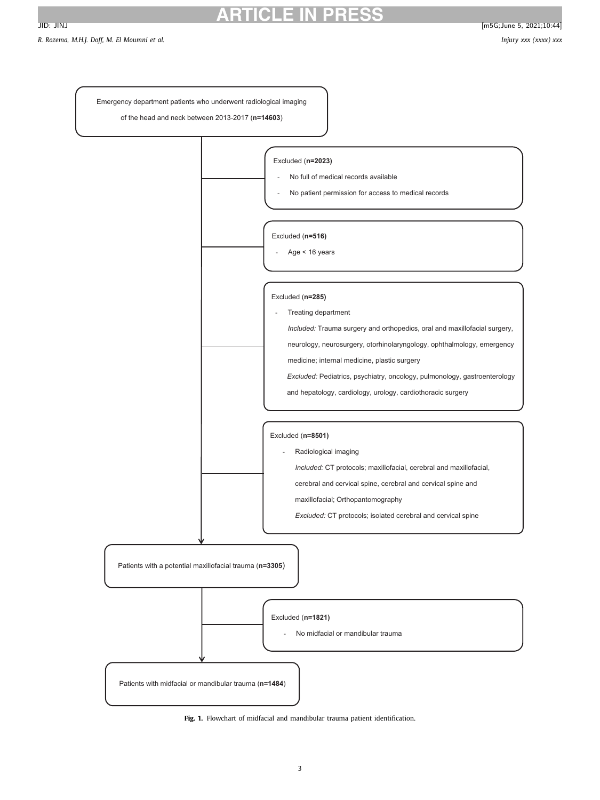<span id="page-2-0"></span>*R. Rozema, M.H.J. Doff, M. El Moumni et al. Injury xxx (xxxx) xxx*



**Fig. 1.** Flowchart of midfacial and mandibular trauma patient identification.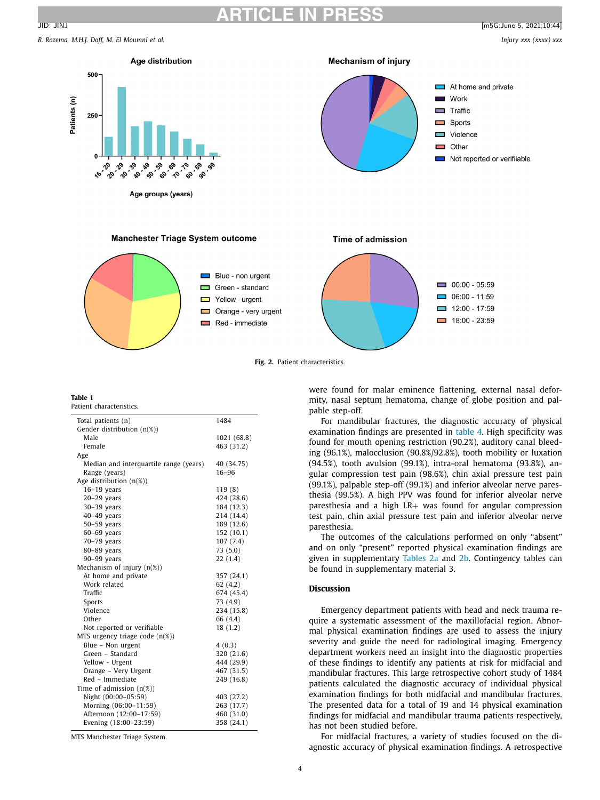# **ARTICLE IN PRESS**

<span id="page-3-0"></span>*R. Rozema, M.H.J. Doff, M. El Moumni et al. Injury xxx (xxxx) xxx*



**Fig. 2.** Patient characteristics.

# **Table 1**

|  | Patient characteristics. |  |  |  |
|--|--------------------------|--|--|--|
|  |                          |  |  |  |

| Total patients (n)                     | 1484        |
|----------------------------------------|-------------|
| Gender distribution (n(%))             |             |
| Male                                   | 1021 (68.8) |
| Female                                 | 463 (31.2)  |
| Age                                    |             |
| Median and interquartile range (years) | 40 (34.75)  |
| Range (years)                          | $16 - 96$   |
| Age distribution $(n(\%))$             |             |
| $16-19$ years                          | 119 (8)     |
| $20-29$ years                          | 424 (28.6)  |
| 30-39 years                            | 184 (12.3)  |
| $40-49$ years                          | 214 (14.4)  |
| $50-59$ years                          | 189 (12.6)  |
| $60-69$ years                          | 152 (10.1)  |
| 70-79 years                            | 107(7.4)    |
| 80-89 years                            | 73 (5.0)    |
| 90-99 years                            | 22(1.4)     |
| Mechanism of injury $(n(x))$           |             |
| At home and private                    | 357 (24.1)  |
| Work related                           | 62(4.2)     |
| Traffic                                | 674 (45.4)  |
| Sports                                 | 73 (4.9)    |
| Violence                               | 234 (15.8)  |
| Other                                  | 66 (4.4)    |
| Not reported or verifiable             | 18(1.2)     |
| MTS urgency triage code (n(%))         |             |
| Blue - Non urgent                      | 4(0.3)      |
| Green - Standard                       | 320 (21.6)  |
| Yellow - Urgent                        | 444 (29.9)  |
| Orange - Very Urgent                   | 467 (31.5)  |
| Red - Immediate                        | 249 (16.8)  |
| Time of admission $(n(x))$             |             |
| Night (00:00-05:59)                    | 403 (27.2)  |
| Morning (06:00-11:59)                  | 263 (17.7)  |
| Afternoon (12:00-17:59)                | 460 (31.0)  |
| Evening (18:00-23:59)                  | 358 (24.1)  |

MTS Manchester Triage System.

were found for malar eminence flattening, external nasal deformity, nasal septum hematoma, change of globe position and palpable step-off.

For mandibular fractures, the diagnostic accuracy of physical examination findings are presented in [table](#page-6-0) 4. High specificity was found for mouth opening restriction (90.2%), auditory canal bleeding (96.1%), malocclusion (90.8%/92.8%), tooth mobility or luxation (94.5%), tooth avulsion (99.1%), intra-oral hematoma (93.8%), angular compression test pain (98.6%), chin axial pressure test pain (99.1%), palpable step-off (99.1%) and inferior alveolar nerve paresthesia (99.5%). A high PPV was found for inferior alveolar nerve paresthesia and a high LR+ was found for angular compression test pain, chin axial pressure test pain and inferior alveolar nerve paresthesia.

The outcomes of the calculations performed on only "absent" and on only "present" reported physical examination findings are given in supplementary [Tables](#page-4-0) 2a and [2b.](#page-4-0) Contingency tables can be found in supplementary material 3.

### **Discussion**

Emergency department patients with head and neck trauma require a systematic assessment of the maxillofacial region. Abnormal physical examination findings are used to assess the injury severity and guide the need for radiological imaging. Emergency department workers need an insight into the diagnostic properties of these findings to identify any patients at risk for midfacial and mandibular fractures. This large retrospective cohort study of 1484 patients calculated the diagnostic accuracy of individual physical examination findings for both midfacial and mandibular fractures. The presented data for a total of 19 and 14 physical examination findings for midfacial and mandibular trauma patients respectively, has not been studied before.

For midfacial fractures, a variety of studies focused on the diagnostic accuracy of physical examination findings. A retrospective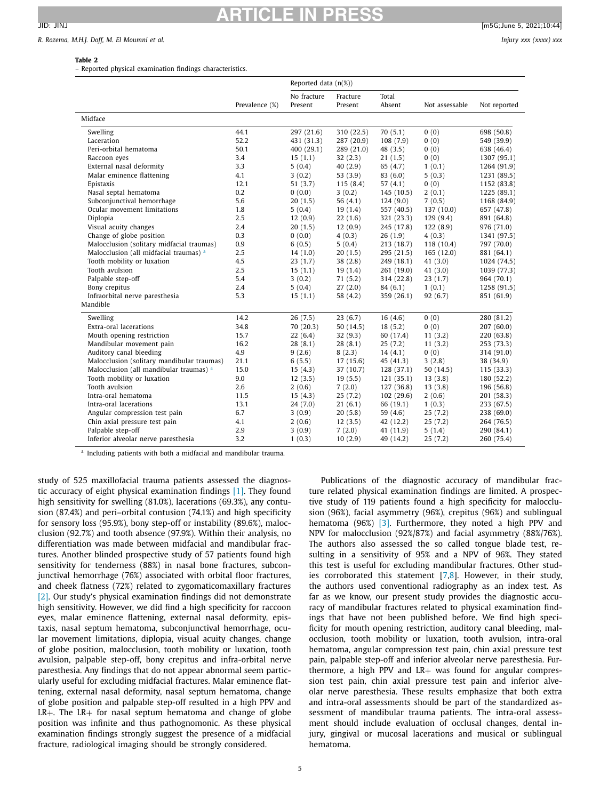### <span id="page-4-0"></span>*R. Rozema, M.H.J. Doff, M. El Moumni et al. Injury xxx (xxxx) xxx*

# **Table 2**

– Reported physical examination findings characteristics.

|                                            |                | Reported data $(n(\%))$ |                     |                 |                |              |
|--------------------------------------------|----------------|-------------------------|---------------------|-----------------|----------------|--------------|
|                                            | Prevalence (%) | No fracture<br>Present  | Fracture<br>Present | Total<br>Absent | Not assessable | Not reported |
| Midface                                    |                |                         |                     |                 |                |              |
| Swelling                                   | 44.1           | 297 (21.6)              | 310 (22.5)          | 70(5.1)         | 0(0)           | 698 (50.8)   |
| Laceration                                 | 52.2           | 431 (31.3)              | 287 (20.9)          | 108(7.9)        | 0(0)           | 549 (39.9)   |
| Peri-orbital hematoma                      | 50.1           | 400 (29.1)              | 289 (21.0)          | 48 (3.5)        | 0(0)           | 638 (46.4)   |
| Raccoon eyes                               | 3.4            | 15(1.1)                 | 32(2.3)             | 21(1.5)         | 0(0)           | 1307 (95.1)  |
| External nasal deformity                   | 3.3            | 5(0.4)                  | 40(2.9)             | 65 (4.7)        | 1(0.1)         | 1264 (91.9)  |
| Malar eminence flattening                  | 4.1            | 3(0.2)                  | 53(3.9)             | 83(6.0)         | 5(0.3)         | 1231 (89.5)  |
| Epistaxis                                  | 12.1           | 51(3.7)                 | 115(8.4)            | 57(4.1)         | 0(0)           | 1152 (83.8)  |
| Nasal septal hematoma                      | 0.2            | 0(0.0)                  | 3(0.2)              | 145(10.5)       | 2(0.1)         | 1225 (89.1)  |
| Subconjunctival hemorrhage                 | 5.6            | 20(1.5)                 | 56 $(4.1)$          | 124(9.0)        | 7(0.5)         | 1168 (84.9)  |
| Ocular movement limitations                | 1.8            | 5(0.4)                  | 19(1.4)             | 557 (40.5)      | 137 (10.0)     | 657 (47.8)   |
| Diplopia                                   | 2.5            | 12(0.9)                 | 22(1.6)             | 321(23.3)       | 129(9.4)       | 891 (64.8)   |
| Visual acuity changes                      | 2.4            | 20(1.5)                 | 12(0.9)             | 245 (17.8)      | 122(8.9)       | 976 (71.0)   |
| Change of globe position                   | 0.3            | 0(0.0)                  | 4(0.3)              | 26(1.9)         | 4(0.3)         | 1341 (97.5)  |
| Malocclusion (solitary midfacial traumas)  | 0.9            | 6(0.5)                  | 5(0.4)              | 213 (18.7)      | 118 (10.4)     | 797 (70.0)   |
| Malocclusion (all midfacial traumas) a     | 2.5            | 14(1.0)                 | 20(1.5)             | 295(21.5)       | 165(12.0)      | 881 (64.1)   |
| Tooth mobility or luxation                 | 4.5            | 23(1.7)                 | 38(2.8)             | 249 (18.1)      | 41(3.0)        | 1024 (74.5)  |
| Tooth avulsion                             | 2.5            | 15(1.1)                 | 19(1.4)             | 261(19.0)       | 41(3.0)        | 1039 (77.3)  |
| Palpable step-off                          | 5.4            | 3(0.2)                  | 71(5.2)             | 314 (22.8)      | 23(1.7)        | 964 (70.1)   |
| Bony crepitus                              | 2.4            | 5(0.4)                  | 27(2.0)             | 84 (6.1)        | 1(0.1)         | 1258 (91.5)  |
| Infraorbital nerve paresthesia             | 5.3            | 15(1.1)                 | 58 (4.2)            | 359(26.1)       | 92 (6.7)       | 851 (61.9)   |
| Mandible                                   |                |                         |                     |                 |                |              |
| Swelling                                   | 14.2           | 26(7.5)                 | 23(6.7)             | 16(4.6)         | 0(0)           | 280 (81.2)   |
| Extra-oral lacerations                     | 34.8           | 70(20.3)                | 50(14.5)            | 18(5.2)         | 0(0)           | 207(60.0)    |
| Mouth opening restriction                  | 15.7           | 22(6.4)                 | 32(9.3)             | 60 (17.4)       | 11(3.2)        | 220(63.8)    |
| Mandibular movement pain                   | 16.2           | 28(8.1)                 | 28(8.1)             | 25(7.2)         | 11(3.2)        | 253 (73.3)   |
| Auditory canal bleeding                    | 4.9            | 9(2.6)                  | 8(2.3)              | 14(4.1)         | 0(0)           | 314 (91.0)   |
| Malocclusion (solitary mandibular traumas) | 21.1           | 6(5.5)                  | 17(15.6)            | 45 (41.3)       | 3(2.8)         | 38 (34.9)    |
| Malocclusion (all mandibular traumas) a    | 15.0           | 15(4.3)                 | 37 (10.7)           | 128(37.1)       | 50(14.5)       | 115 (33.3)   |
| Tooth mobility or luxation                 | 9.0            | 12(3.5)                 | 19(5.5)             | 121(35.1)       | 13(3.8)        | 180 (52.2)   |
| Tooth avulsion                             | 2.6            | 2(0.6)                  | 7(2.0)              | 127 (36.8)      | 13(3.8)        | 196 (56.8)   |
| Intra-oral hematoma                        | 11.5           | 15(4.3)                 | 25(7.2)             | 102(29.6)       | 2(0.6)         | 201 (58.3)   |
| Intra-oral lacerations                     | 13.1           | 24(7.0)                 | 21(6.1)             | 66 (19.1)       | 1(0.3)         | 233(67.5)    |
| Angular compression test pain              | 6.7            | 3(0.9)                  | 20(5.8)             | 59 (4.6)        | 25(7.2)        | 238 (69.0)   |
| Chin axial pressure test pain              | 4.1            | 2(0.6)                  | 12(3.5)             | 42 (12.2)       | 25(7.2)        | 264 (76.5)   |
| Palpable step-off                          | 2.9            | 3(0.9)                  | 7(2.0)              | 41 (11.9)       | 5(1.4)         | 290 (84.1)   |
| Inferior alveolar nerve paresthesia        | 3.2            | 1(0.3)                  | 10(2.9)             | 49 (14.2)       | 25(7.2)        | 260 (75.4)   |

<sup>a</sup> Including patients with both a midfacial and mandibular trauma.

study of 525 maxillofacial trauma patients assessed the diagnostic accuracy of eight physical examination findings [\[1\].](#page-7-0) They found high sensitivity for swelling (81.0%), lacerations (69.3%), any contusion (87.4%) and peri–orbital contusion (74.1%) and high specificity for sensory loss (95.9%), bony step-off or instability (89.6%), malocclusion (92.7%) and tooth absence (97.9%). Within their analysis, no differentiation was made between midfacial and mandibular fractures. Another blinded prospective study of 57 patients found high sensitivity for tenderness (88%) in nasal bone fractures, subconjunctival hemorrhage (76%) associated with orbital floor fractures, and cheek flatness (72%) related to zygomaticomaxillary fractures [\[2\].](#page-7-0) Our study's physical examination findings did not demonstrate high sensitivity. However, we did find a high specificity for raccoon eyes, malar eminence flattening, external nasal deformity, epistaxis, nasal septum hematoma, subconjunctival hemorrhage, ocular movement limitations, diplopia, visual acuity changes, change of globe position, malocclusion, tooth mobility or luxation, tooth avulsion, palpable step-off, bony crepitus and infra-orbital nerve paresthesia. Any findings that do not appear abnormal seem particularly useful for excluding midfacial fractures. Malar eminence flattening, external nasal deformity, nasal septum hematoma, change of globe position and palpable step-off resulted in a high PPV and  $LR+$ . The  $LR+$  for nasal septum hematoma and change of globe position was infinite and thus pathognomonic. As these physical examination findings strongly suggest the presence of a midfacial fracture, radiological imaging should be strongly considered.

Publications of the diagnostic accuracy of mandibular fracture related physical examination findings are limited. A prospective study of 119 patients found a high specificity for malocclusion (96%), facial asymmetry (96%), crepitus (96%) and sublingual hematoma (96%) [\[3\].](#page-7-0) Furthermore, they noted a high PPV and NPV for malocclusion (92%/87%) and facial asymmetry (88%/76%). The authors also assessed the so called tongue blade test, resulting in a sensitivity of 95% and a NPV of 96%. They stated this test is useful for excluding mandibular fractures. Other studies corroborated this statement [\[7,8\]](#page-7-0). However, in their study, the authors used conventional radiography as an index test. As far as we know, our present study provides the diagnostic accuracy of mandibular fractures related to physical examination findings that have not been published before. We find high specificity for mouth opening restriction, auditory canal bleeding, malocclusion, tooth mobility or luxation, tooth avulsion, intra-oral hematoma, angular compression test pain, chin axial pressure test pain, palpable step-off and inferior alveolar nerve paresthesia. Furthermore, a high PPV and LR+ was found for angular compression test pain, chin axial pressure test pain and inferior alveolar nerve paresthesia. These results emphasize that both extra and intra-oral assessments should be part of the standardized assessment of mandibular trauma patients. The intra-oral assessment should include evaluation of occlusal changes, dental injury, gingival or mucosal lacerations and musical or sublingual hematoma.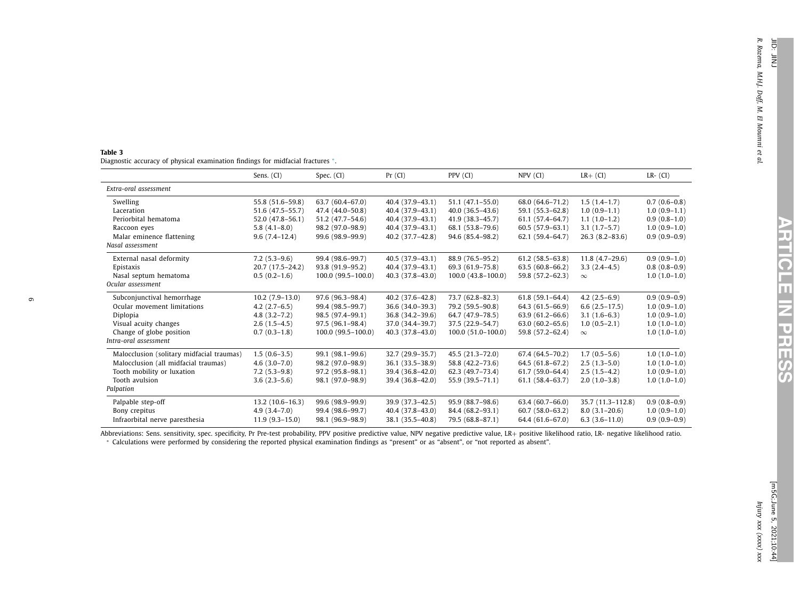<span id="page-5-0"></span>

| Table 3                                                                        |  |  |  |
|--------------------------------------------------------------------------------|--|--|--|
| Diagnostic accuracy of physical examination findings for midfacial fractures * |  |  |  |

|                                           | Sens. (CI)          | Spec. (CI)          | Pr (CI)             | PPV (CI)              | NPV (CI)            | $LR+$ (CI)         | $LR-$ (CI)     |
|-------------------------------------------|---------------------|---------------------|---------------------|-----------------------|---------------------|--------------------|----------------|
| Extra-oral assessment                     |                     |                     |                     |                       |                     |                    |                |
| Swelling                                  | 55.8 (51.6-59.8)    | $63.7(60.4 - 67.0)$ | 40.4 (37.9-43.1)    | $51.1(47.1 - 55.0)$   | 68.0 (64.6-71.2)    | $1.5(1.4-1.7)$     | $0.7(0.6-0.8)$ |
| Laceration                                | 51.6 (47.5-55.7)    | 47.4 (44.0-50.8)    | 40.4 (37.9-43.1)    | $40.0(36.5-43.6)$     | 59.1 (55.3-62.8)    | $1.0(0.9-1.1)$     | $1.0(0.9-1.1)$ |
| Periorbital hematoma                      | $52.0(47.8 - 56.1)$ | 51.2 (47.7-54.6)    | 40.4 (37.9-43.1)    | 41.9 (38.3-45.7)      | $61.1(57.4 - 64.7)$ | $1.1(1.0-1.2)$     | $0.9(0.8-1.0)$ |
| Raccoon eyes                              | $5.8(4.1-8.0)$      | 98.2 (97.0-98.9)    | 40.4 (37.9-43.1)    | 68.1 (53.8-79.6)      | $60.5(57.9-63.1)$   | $3.1(1.7-5.7)$     | $1.0(0.9-1.0)$ |
| Malar eminence flattening                 | $9.6(7.4-12.4)$     | 99.6 (98.9-99.9)    | $40.2(37.7 - 42.8)$ | 94.6 (85.4-98.2)      | $62.1(59.4-64.7)$   | $26.3(8.2 - 83.6)$ | $0.9(0.9-0.9)$ |
| Nasal assessment                          |                     |                     |                     |                       |                     |                    |                |
| External nasal deformity                  | $7.2(5.3-9.6)$      | 99.4 (98.6-99.7)    | 40.5 (37.9-43.1)    | 88.9 (76.5-95.2)      | $61.2(58.5 - 63.8)$ | $11.8(4.7-29.6)$   | $0.9(0.9-1.0)$ |
| Epistaxis                                 | 20.7 (17.5-24.2)    | 93.8 (91.9-95.2)    | 40.4 (37.9-43.1)    | 69.3 (61.9-75.8)      | $63.5(60.8 - 66.2)$ | $3.3(2.4-4.5)$     | $0.8(0.8-0.9)$ |
| Nasal septum hematoma                     | $0.5(0.2-1.6)$      | $100.0(99.5-100.0)$ | $40.3(37.8-43.0)$   | $100.0(43.8 - 100.0)$ | 59.8 (57.2-62.3)    | $\infty$           | $1.0(1.0-1.0)$ |
| Ocular assessment                         |                     |                     |                     |                       |                     |                    |                |
| Subconjunctival hemorrhage                | $10.2(7.9-13.0)$    | 97.6 (96.3-98.4)    | $40.2(37.6-42.8)$   | 73.7 (62.8-82.3)      | $61.8(59.1 - 64.4)$ | $4.2(2.5-6.9)$     | $0.9(0.9-0.9)$ |
| Ocular movement limitations               | $4.2(2.7-6.5)$      | 99.4 (98.5-99.7)    | 36.6 (34.0-39.3)    | 79.2 (59.5-90.8)      | 64.3 (61.5-66.9)    | $6.6(2.5-17.5)$    | $1.0(0.9-1.0)$ |
| Diplopia                                  | $4.8(3.2 - 7.2)$    | 98.5 (97.4-99.1)    | 36.8 (34.2-39.6)    | 64.7 (47.9-78.5)      | $63.9(61.2 - 66.6)$ | $3.1(1.6-6.3)$     | $1.0(0.9-1.0)$ |
| Visual acuity changes                     | $2.6(1.5-4.5)$      | 97.5 (96.1-98.4)    | 37.0 (34.4-39.7)    | 37.5 (22.9-54.7)      | $63.0(60.2-65.6)$   | $1.0(0.5-2.1)$     | $1.0(1.0-1.0)$ |
| Change of globe position                  | $0.7(0.3-1.8)$      | $100.0(99.5-100.0)$ | $40.3(37.8-43.0)$   | $100.0(51.0-100.0)$   | 59.8 (57.2-62.4)    | $\infty$           | $1.0(1.0-1.0)$ |
| Intra-oral assessment                     |                     |                     |                     |                       |                     |                    |                |
| Malocclusion (solitary midfacial traumas) | $1.5(0.6-3.5)$      | 99.1 (98.1-99.6)    | 32.7 (29.9-35.7)    | 45.5 (21.3-72.0)      | 67.4 (64.5-70.2)    | $1.7(0.5-5.6)$     | $1.0(1.0-1.0)$ |
| Malocclusion (all midfacial traumas)      | $4.6(3.0 - 7.0)$    | 98.2 (97.0-98.9)    | 36.1 (33.5-38.9)    | 58.8 (42.2-73.6)      | 64.5 (61.8-67.2)    | $2.5(1.3-5.0)$     | $1.0(1.0-1.0)$ |
| Tooth mobility or luxation                | $7.2(5.3-9.8)$      | 97.2 (95.8-98.1)    | 39.4 (36.8-42.0)    | 62.3 (49.7-73.4)      | $61.7(59.0 - 64.4)$ | $2.5(1.5-4.2)$     | $1.0(0.9-1.0)$ |
| Tooth avulsion                            | $3.6(2.3-5.6)$      | 98.1 (97.0-98.9)    | 39.4 (36.8-42.0)    | 55.9 (39.5-71.1)      | $61.1(58.4 - 63.7)$ | $2.0(1.0-3.8)$     | $1.0(1.0-1.0)$ |
| Palpation                                 |                     |                     |                     |                       |                     |                    |                |
| Palpable step-off                         | $13.2(10.6-16.3)$   | 99.6 (98.9-99.9)    | 39.9 (37.3-42.5)    | 95.9 (88.7-98.6)      | $63.4(60.7-66.0)$   | 35.7 (11.3-112.8)  | $0.9(0.8-0.9)$ |
| Bony crepitus                             | $4.9(3.4 - 7.0)$    | 99.4 (98.6-99.7)    | 40.4 (37.8-43.0)    | 84.4 (68.2-93.1)      | $60.7(58.0 - 63.2)$ | $8.0(3.1 - 20.6)$  | $1.0(0.9-1.0)$ |
| Infraorbital nerve paresthesia            | $11.9(9.3-15.0)$    | 98.1 (96.9-98.9)    | 38.1 (35.5-40.8)    | 79.5 (68.8-87.1)      | 64.4 (61.6-67.0)    | $6.3(3.6-11.0)$    | $0.9(0.9-0.9)$ |

Abbreviations: Sens. sensitivity, spec. specificity, Pr Pre-test probability, PPV positive predictive value, NPV negative predictive value, LR+ positive likelihood ratio, LR- negative likelihood ratio.<br>\* Calculations were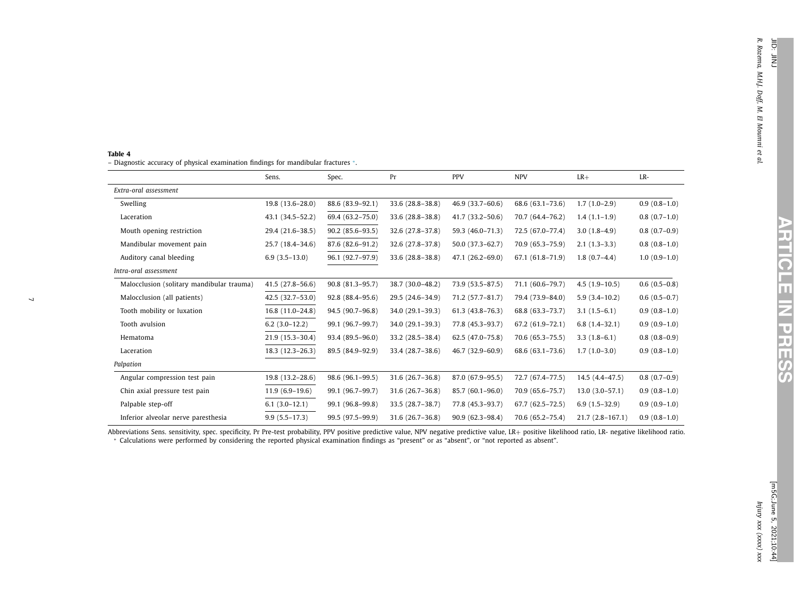**ARTICLE**

**IZ** 

**PRESS**

### <span id="page-6-0"></span>**Table 4**

– Diagnostic accuracy of physical examination findings for mandibular fractures <sup>∗</sup>.

|                                           | Sens.               | Spec.               | Pr                  | <b>PPV</b>          | <b>NPV</b>          | $LR+$               | LR-            |
|-------------------------------------------|---------------------|---------------------|---------------------|---------------------|---------------------|---------------------|----------------|
| Extra-oral assessment                     |                     |                     |                     |                     |                     |                     |                |
| Swelling                                  | 19.8 (13.6-28.0)    | 88.6 (83.9-92.1)    | 33.6 (28.8-38.8)    | 46.9 (33.7-60.6)    | 68.6 (63.1-73.6)    | $1.7(1.0-2.9)$      | $0.9(0.8-1.0)$ |
| Laceration                                | 43.1 (34.5-52.2)    | 69.4 (63.2-75.0)    | 33.6 (28.8-38.8)    | $41.7(33.2 - 50.6)$ | 70.7 (64.4-76.2)    | $1.4(1.1-1.9)$      | $0.8(0.7-1.0)$ |
| Mouth opening restriction                 | 29.4 (21.6-38.5)    | $90.2(85.6-93.5)$   | 32.6 (27.8-37.8)    | 59.3 (46.0-71.3)    | 72.5 (67.0-77.4)    | $3.0(1.8-4.9)$      | $0.8(0.7-0.9)$ |
| Mandibular movement pain                  | 25.7 (18.4-34.6)    | 87.6 (82.6-91.2)    | 32.6 (27.8-37.8)    | $50.0(37.3-62.7)$   | $70.9(65.3 - 75.9)$ | $2.1(1.3-3.3)$      | $0.8(0.8-1.0)$ |
| Auditory canal bleeding                   | $6.9(3.5-13.0)$     | 96.1 (92.7-97.9)    | 33.6 (28.8-38.8)    | $47.1(26.2-69.0)$   | $67.1(61.8 - 71.9)$ | $1.8(0.7-4.4)$      | $1.0(0.9-1.0)$ |
| Intra-oral assessment                     |                     |                     |                     |                     |                     |                     |                |
| Malocclusion (solitary mandibular trauma) | $41.5(27.8 - 56.6)$ | $90.8(81.3 - 95.7)$ | 38.7 (30.0-48.2)    | 73.9 (53.5-87.5)    | 71.1 (60.6-79.7)    | $4.5(1.9-10.5)$     | $0.6(0.5-0.8)$ |
| Malocclusion (all patients)               | $42.5(32.7-53.0)$   | $92.8(88.4 - 95.6)$ | 29.5 (24.6-34.9)    | 71.2 (57.7-81.7)    | 79.4 (73.9-84.0)    | $5.9(3.4-10.2)$     | $0.6(0.5-0.7)$ |
| Tooth mobility or luxation                | $16.8(11.0-24.8)$   | 94.5 (90.7-96.8)    | 34.0 (29.1-39.3)    | $61.3(43.8 - 76.3)$ | 68.8 (63.3-73.7)    | $3.1(1.5-6.1)$      | $0.9(0.8-1.0)$ |
| Tooth avulsion                            | $6.2(3.0-12.2)$     | 99.1 (96.7-99.7)    | 34.0 (29.1-39.3)    | 77.8 (45.3-93.7)    | 67.2 (61.9-72.1)    | $6.8(1.4-32.1)$     | $0.9(0.9-1.0)$ |
| Hematoma                                  | $21.9(15.3 - 30.4)$ | 93.4 (89.5-96.0)    | 33.2 (28.5-38.4)    | $62.5(47.0-75.8)$   | $70.6(65.3 - 75.5)$ | $3.3(1.8-6.1)$      | $0.8(0.8-0.9)$ |
| Laceration                                | 18.3 (12.3-26.3)    | 89.5 (84.9-92.9)    | 33.4 (28.7-38.6)    | 46.7 (32.9-60.9)    | 68.6 (63.1-73.6)    | $1.7(1.0-3.0)$      | $0.9(0.8-1.0)$ |
| Palpation                                 |                     |                     |                     |                     |                     |                     |                |
| Angular compression test pain             | 19.8 (13.2-28.6)    | 98.6 (96.1-99.5)    | $31.6(26.7 - 36.8)$ | 87.0 (67.9-95.5)    | 72.7 (67.4-77.5)    | $14.5(4.4 - 47.5)$  | $0.8(0.7-0.9)$ |
| Chin axial pressure test pain             | $11.9(6.9-19.6)$    | 99.1 (96.7-99.7)    | 31.6 (26.7-36.8)    | 85.7 (60.1-96.0)    | 70.9 (65.6-75.7)    | $13.0(3.0-57.1)$    | $0.9(0.8-1.0)$ |
| Palpable step-off                         | $6.1(3.0-12.1)$     | 99.1 (96.8-99.8)    | 33.5 (28.7-38.7)    | 77.8 (45.3-93.7)    | $67.7(62.5 - 72.5)$ | $6.9(1.5-32.9)$     | $0.9(0.9-1.0)$ |
| Inferior alveolar nerve paresthesia       | $9.9(5.5 - 17.3)$   | 99.5 (97.5-99.9)    | $31.6(26.7 - 36.8)$ | $90.9(62.3 - 98.4)$ | 70.6 (65.2-75.4)    | $21.7(2.8 - 167.1)$ | $0.9(0.8-1.0)$ |

Abbreviations Sens. sensitivity, spec. specificity, Pr Pre-test probability, PPV positive predictive value, NPV negative predictive value, LR+ positive likelihood ratio, LR- negative likelihood ratio.<br>\* Calculations were p

 $\overline{\phantom{0}}$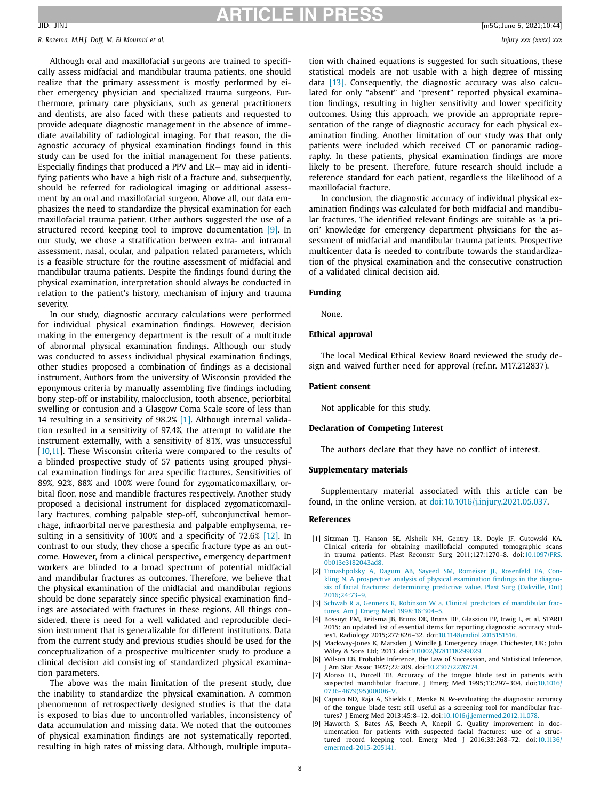<span id="page-7-0"></span>*R. Rozema, M.H.J. Doff, M. El Moumni et al. Injury xxx (xxxx) xxx*

Although oral and maxillofacial surgeons are trained to specifically assess midfacial and mandibular trauma patients, one should realize that the primary assessment is mostly performed by either emergency physician and specialized trauma surgeons. Furthermore, primary care physicians, such as general practitioners and dentists, are also faced with these patients and requested to provide adequate diagnostic management in the absence of immediate availability of radiological imaging. For that reason, the diagnostic accuracy of physical examination findings found in this study can be used for the initial management for these patients. Especially findings that produced a PPV and  $LR+$  may aid in identifying patients who have a high risk of a fracture and, subsequently, should be referred for radiological imaging or additional assessment by an oral and maxillofacial surgeon. Above all, our data emphasizes the need to standardize the physical examination for each maxillofacial trauma patient. Other authors suggested the use of a structured record keeping tool to improve documentation [9]. In our study, we chose a stratification between extra- and intraoral assessment, nasal, ocular, and palpation related parameters, which is a feasible structure for the routine assessment of midfacial and mandibular trauma patients. Despite the findings found during the physical examination, interpretation should always be conducted in relation to the patient's history, mechanism of injury and trauma severity.

In our study, diagnostic accuracy calculations were performed for individual physical examination findings. However, decision making in the emergency department is the result of a multitude of abnormal physical examination findings. Although our study was conducted to assess individual physical examination findings, other studies proposed a combination of findings as a decisional instrument. Authors from the university of Wisconsin provided the eponymous criteria by manually assembling five findings including bony step-off or instability, malocclusion, tooth absence, periorbital swelling or contusion and a Glasgow Coma Scale score of less than 14 resulting in a sensitivity of 98.2% [1]. Although internal validation resulted in a sensitivity of 97.4%, the attempt to validate the instrument externally, with a sensitivity of 81%, was unsuccessful [10[,11\]](#page-8-0). These Wisconsin criteria were compared to the results of a blinded prospective study of 57 patients using grouped physical examination findings for area specific fractures. Sensitivities of 89%, 92%, 88% and 100% were found for zygomaticomaxillary, orbital floor, nose and mandible fractures respectively. Another study proposed a decisional instrument for displaced zygomaticomaxillary fractures, combing palpable step-off, subconjunctival hemorrhage, infraorbital nerve paresthesia and palpable emphysema, re-sulting in a sensitivity of 100% and a specificity of 72.6% [\[12\].](#page-8-0) In contrast to our study, they chose a specific fracture type as an outcome. However, from a clinical perspective, emergency department workers are blinded to a broad spectrum of potential midfacial and mandibular fractures as outcomes. Therefore, we believe that the physical examination of the midfacial and mandibular regions should be done separately since specific physical examination findings are associated with fractures in these regions. All things considered, there is need for a well validated and reproducible decision instrument that is generalizable for different institutions. Data from the current study and previous studies should be used for the conceptualization of a prospective multicenter study to produce a clinical decision aid consisting of standardized physical examination parameters.

The above was the main limitation of the present study, due the inability to standardize the physical examination. A common phenomenon of retrospectively designed studies is that the data is exposed to bias due to uncontrolled variables, inconsistency of data accumulation and missing data. We noted that the outcomes of physical examination findings are not systematically reported, resulting in high rates of missing data. Although, multiple imputation with chained equations is suggested for such situations, these statistical models are not usable with a high degree of missing data [\[13\].](#page-8-0) Consequently, the diagnostic accuracy was also calculated for only "absent" and "present" reported physical examination findings, resulting in higher sensitivity and lower specificity outcomes. Using this approach, we provide an appropriate representation of the range of diagnostic accuracy for each physical examination finding. Another limitation of our study was that only patients were included which received CT or panoramic radiography. In these patients, physical examination findings are more likely to be present. Therefore, future research should include a reference standard for each patient, regardless the likelihood of a maxillofacial fracture.

In conclusion, the diagnostic accuracy of individual physical examination findings was calculated for both midfacial and mandibular fractures. The identified relevant findings are suitable as 'a priori' knowledge for emergency department physicians for the assessment of midfacial and mandibular trauma patients. Prospective multicenter data is needed to contribute towards the standardization of the physical examination and the consecutive construction of a validated clinical decision aid.

### **Funding**

None.

### **Ethical approval**

The local Medical Ethical Review Board reviewed the study design and waived further need for approval (ref.nr. M17.212837).

### **Patient consent**

Not applicable for this study.

### **Declaration of Competing Interest**

The authors declare that they have no conflict of interest.

### **Supplementary materials**

Supplementary material associated with this article can be found, in the online version, at [doi:10.1016/j.injury.2021.05.037.](https://doi.org/10.1016/j.injury.2021.05.037)

### **References**

- [1] Sitzman TJ, Hanson SE, Alsheik NH, Gentry LR, Doyle JF, Gutowski KA. Clinical criteria for obtaining maxillofacial computed tomographic scans in trauma patients. Plast Reconstr Surg 2011;127:1270–8. doi:10.1097/PRS. [0b013e3182043ad8.](https://doi.org/10.1097/PRS.0b013e3182043ad8)
- [2] [Timashpolsky](http://refhub.elsevier.com/S0020-1383(21)00487-3/sbref0002) A, [Dagum](http://refhub.elsevier.com/S0020-1383(21)00487-3/sbref0002) AB, [Sayeed](http://refhub.elsevier.com/S0020-1383(21)00487-3/sbref0002) SM, [Romeiser](http://refhub.elsevier.com/S0020-1383(21)00487-3/sbref0002) JL, [Rosenfeld](http://refhub.elsevier.com/S0020-1383(21)00487-3/sbref0002) EA, Conkling N. A prospective analysis of physical examination findings in the diagnosis of facial fractures: determining predictive value. Plast Surg (Oakville, Ont) [2016;24:73–9.](http://refhub.elsevier.com/S0020-1383(21)00487-3/sbref0002)
- [3] [Schwab](http://refhub.elsevier.com/S0020-1383(21)00487-3/sbref0003) R a, [Genners](http://refhub.elsevier.com/S0020-1383(21)00487-3/sbref0003) K, [Robinson](http://refhub.elsevier.com/S0020-1383(21)00487-3/sbref0003) W a. Clinical predictors of mandibular fractures. Am J Emerg Med [1998;16:304–5.](http://refhub.elsevier.com/S0020-1383(21)00487-3/sbref0003)
- [4] Bossuyt PM, Reitsma JB, Bruns DE, Bruns DE, Glasziou PP, Irwig L, et al. STARD 2015: an updated list of essential items for reporting diagnostic accuracy studies1. Radiology 2015;277:826–32. doi[:10.1148/radiol.2015151516.](https://doi.org/10.1148/radiol.2015151516)
- [5] Mackway-Jones K, Marsden J, Windle J. Emergency triage. Chichester, UK: John Wiley & Sons Ltd; 2013. doi[:101002/9781118299029.](https://doi.org/101002/9781118299029)
- [6] Wilson EB. Probable Inference, the Law of Succession, and Statistical Inference. J Am Stat Assoc 1927;22:209. doi[:10.2307/2276774.](https://doi.org/10.2307/2276774)
- [7] Alonso LL, Purcell TB. Accuracy of the tongue blade test in patients with suspected mandibular fracture. J Emerg Med 1995;13:297–304. doi:10.1016/ [0736-4679\(95\)00006-V.](https://doi.org/10.1016/0736-4679(95)00006-V)
- [8] Caputo ND, Raja A, Shields C, Menke N. *Re*-evaluating the diagnostic accuracy of the tongue blade test: still useful as a screening tool for mandibular fractures? J Emerg Med 2013;45:8–12. doi[:10.1016/j.jemermed.2012.11.078.](https://doi.org/10.1016/j.jemermed.2012.11.078)
- [9] Haworth S, Bates AS, Beech A, Knepil G. Quality improvement in documentation for patients with suspected facial fractures: use of a structured record keeping tool. Emerg Med J 2016;33:268–72. doi:10.1136/ [emermed-2015-205141.](https://doi.org/10.1136/emermed-2015-205141)